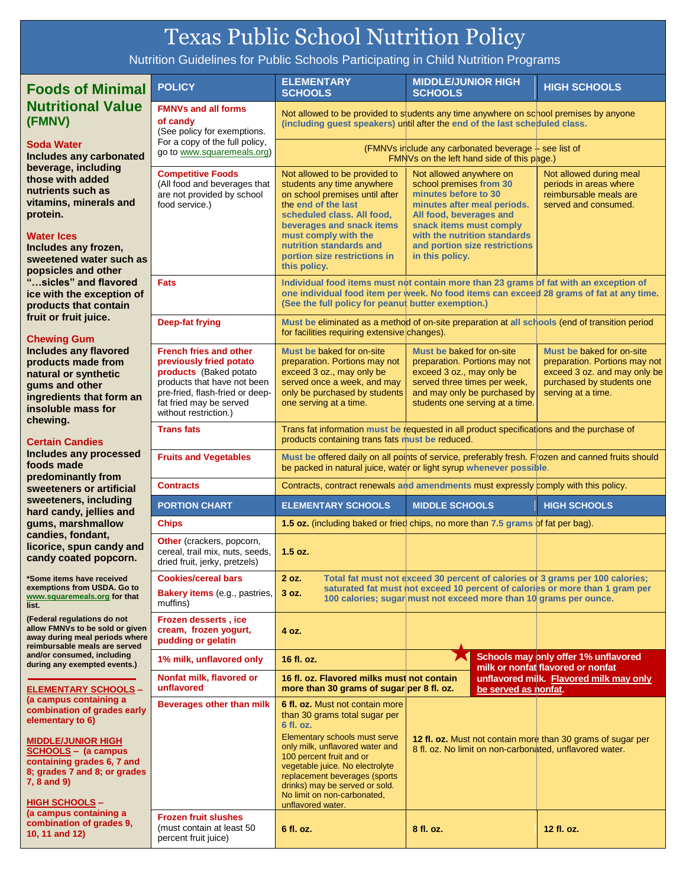## Texas Public School Nutrition Policy

Nutrition Guidelines for Public Schools Participating in Child Nutrition Programs

| <b>Foods of Minimal</b>                                                                                                                                                                                                                                                                                                                                                                                                                                                                                                           | <b>POLICY</b>                                                                                                                                                                                            | <b>ELEMENTARY</b><br><b>SCHOOLS</b>                                                                                                                                                                                                                                                | <b>MIDDLE/JUNIOR HIGH</b><br><b>SCHOOLS</b>                                                                                                                                                                                                         | <b>HIGH SCHOOLS</b>                                                                                                                           |
|-----------------------------------------------------------------------------------------------------------------------------------------------------------------------------------------------------------------------------------------------------------------------------------------------------------------------------------------------------------------------------------------------------------------------------------------------------------------------------------------------------------------------------------|----------------------------------------------------------------------------------------------------------------------------------------------------------------------------------------------------------|------------------------------------------------------------------------------------------------------------------------------------------------------------------------------------------------------------------------------------------------------------------------------------|-----------------------------------------------------------------------------------------------------------------------------------------------------------------------------------------------------------------------------------------------------|-----------------------------------------------------------------------------------------------------------------------------------------------|
| <b>Nutritional Value</b><br>(FMNV)                                                                                                                                                                                                                                                                                                                                                                                                                                                                                                | <b>FMNVs and all forms</b><br>of candy<br>(See policy for exemptions.                                                                                                                                    | Not allowed to be provided to students any time anywhere on school premises by anyone<br>(including guest speakers) until after the end of the last scheduled class.                                                                                                               |                                                                                                                                                                                                                                                     |                                                                                                                                               |
| <b>Soda Water</b><br>Includes any carbonated<br>beverage, including<br>those with added<br>nutrients such as<br>vitamins, minerals and<br>protein.<br><b>Water Ices</b><br>Includes any frozen,<br>sweetened water such as<br>popsicles and other<br>"sicles" and flavored<br>ice with the exception of<br>products that contain<br>fruit or fruit juice.<br><b>Chewing Gum</b><br><b>Includes any flavored</b><br>products made from<br>natural or synthetic<br>gums and other<br>ingredients that form an<br>insoluble mass for | For a copy of the full policy,<br>go to www.squaremeals.org)                                                                                                                                             | (FMNVs include any carbonated beverage - see list of<br>FMNVs on the left hand side of this page.)                                                                                                                                                                                 |                                                                                                                                                                                                                                                     |                                                                                                                                               |
|                                                                                                                                                                                                                                                                                                                                                                                                                                                                                                                                   | <b>Competitive Foods</b><br>(All food and beverages that<br>are not provided by school<br>food service.)                                                                                                 | Not allowed to be provided to<br>students any time anywhere<br>on school premises until after<br>the end of the last<br>scheduled class. All food,<br>beverages and snack items<br>must comply with the<br>nutrition standards and<br>portion size restrictions in<br>this policy. | Not allowed anywhere on<br>school premises from 30<br>minutes before to 30<br>minutes after meal periods.<br>All food, beverages and<br>snack items must comply<br>with the nutrition standards<br>and portion size restrictions<br>in this policy. | Not allowed during meal<br>periods in areas where<br>reimbursable meals are<br>served and consumed.                                           |
|                                                                                                                                                                                                                                                                                                                                                                                                                                                                                                                                   | <b>Fats</b>                                                                                                                                                                                              | (See the full policy for peanut butter exemption.)                                                                                                                                                                                                                                 | Individual food items must not contain more than 23 grams of fat with an exception of<br>one individual food item per week. No food items can exceed 28 grams of fat at any time.                                                                   |                                                                                                                                               |
|                                                                                                                                                                                                                                                                                                                                                                                                                                                                                                                                   | <b>Deep-fat frying</b>                                                                                                                                                                                   | for facilities requiring extensive changes).                                                                                                                                                                                                                                       | Must be eliminated as a method of on-site preparation at all schools (end of transition period                                                                                                                                                      |                                                                                                                                               |
|                                                                                                                                                                                                                                                                                                                                                                                                                                                                                                                                   | <b>French fries and other</b><br>previously fried potato<br>products (Baked potato<br>products that have not been<br>pre-fried, flash-fried or deep-<br>fat fried may be served<br>without restriction.) | Must be baked for on-site<br>preparation. Portions may not<br>exceed 3 oz., may only be<br>served once a week, and may<br>only be purchased by students<br>one serving at a time.                                                                                                  | Must be baked for on-site<br>preparation. Portions may not<br>exceed 3 oz., may only be<br>served three times per week,<br>and may only be purchased by<br>students one serving at a time.                                                          | Must be baked for on-site<br>preparation. Portions may not<br>exceed 3 oz. and may only be<br>purchased by students one<br>serving at a time. |
| chewing.<br><b>Certain Candies</b>                                                                                                                                                                                                                                                                                                                                                                                                                                                                                                | <b>Trans fats</b>                                                                                                                                                                                        | Trans fat information must be requested in all product specifications and the purchase of<br>products containing trans fats must be reduced.                                                                                                                                       |                                                                                                                                                                                                                                                     |                                                                                                                                               |
| Includes any processed<br>foods made                                                                                                                                                                                                                                                                                                                                                                                                                                                                                              | <b>Fruits and Vegetables</b>                                                                                                                                                                             | Must be offered daily on all points of service, preferably fresh. Frozen and canned fruits should<br>be packed in natural juice, water or light syrup whenever possible.                                                                                                           |                                                                                                                                                                                                                                                     |                                                                                                                                               |
| predominantly from<br>sweeteners or artificial                                                                                                                                                                                                                                                                                                                                                                                                                                                                                    | <b>Contracts</b>                                                                                                                                                                                         | Contracts, contract renewals and amendments must expressly comply with this policy.                                                                                                                                                                                                |                                                                                                                                                                                                                                                     |                                                                                                                                               |
| sweeteners, including<br>hard candy, jellies and                                                                                                                                                                                                                                                                                                                                                                                                                                                                                  | <b>PORTION CHART</b>                                                                                                                                                                                     | <b>ELEMENTARY SCHOOLS</b>                                                                                                                                                                                                                                                          | <b>MIDDLE SCHOOLS</b>                                                                                                                                                                                                                               | <b>HIGH SCHOOLS</b>                                                                                                                           |
| gums, marshmallow<br>candies, fondant,<br>licorice, spun candy and<br>candy coated popcorn.                                                                                                                                                                                                                                                                                                                                                                                                                                       | <b>Chips</b>                                                                                                                                                                                             |                                                                                                                                                                                                                                                                                    | 1.5 oz. (including baked or fried chips, no more than 7.5 grams of fat per bag).                                                                                                                                                                    |                                                                                                                                               |
|                                                                                                                                                                                                                                                                                                                                                                                                                                                                                                                                   | Other (crackers, popcorn,<br>cereal, trail mix, nuts, seeds,<br>dried fruit, jerky, pretzels)                                                                                                            | 1.5 oz.                                                                                                                                                                                                                                                                            |                                                                                                                                                                                                                                                     |                                                                                                                                               |
| *Some items have received<br>exemptions from USDA. Go to<br>www.squaremeals.org for that<br>list.                                                                                                                                                                                                                                                                                                                                                                                                                                 | <b>Cookies/cereal bars</b><br>Bakery items (e.g., pastries,<br>muffins)                                                                                                                                  | 2 oz.<br>3 oz.                                                                                                                                                                                                                                                                     | Total fat must not exceed 30 percent of calories or 3 grams per 100 calories;<br>saturated fat must not exceed 10 percent of calories or more than 1 gram per<br>100 calories; sugar must not exceed more than 10 grams per ounce.                  |                                                                                                                                               |
| (Federal regulations do not<br>allow FMNVs to be sold or given<br>away during meal periods where<br>reimbursable meals are served                                                                                                                                                                                                                                                                                                                                                                                                 | <b>Frozen desserts, ice</b><br>cream, frozen yogurt,<br>pudding or gelatin                                                                                                                               | 4 oz.                                                                                                                                                                                                                                                                              |                                                                                                                                                                                                                                                     |                                                                                                                                               |
| and/or consumed, including<br>during any exempted events.)                                                                                                                                                                                                                                                                                                                                                                                                                                                                        | 1% milk, unflavored only                                                                                                                                                                                 | 16 fl. oz.                                                                                                                                                                                                                                                                         |                                                                                                                                                                                                                                                     | Schools may only offer 1% unflavored<br>milk or nonfat flavored or nonfat                                                                     |
| <b>ELEMENTARY SCHOOLS -</b>                                                                                                                                                                                                                                                                                                                                                                                                                                                                                                       | Nonfat milk, flavored or<br>unflavored                                                                                                                                                                   | 16 fl. oz. Flavored milks must not contain<br>more than 30 grams of sugar per 8 fl. oz.                                                                                                                                                                                            | be served as nonfat.                                                                                                                                                                                                                                | unflavored milk. Flavored milk may only                                                                                                       |
| (a campus containing a<br>combination of grades early<br>elementary to 6)                                                                                                                                                                                                                                                                                                                                                                                                                                                         | Beverages other than milk                                                                                                                                                                                | 6 fl. oz. Must not contain more<br>than 30 grams total sugar per<br>6 fl. oz.                                                                                                                                                                                                      |                                                                                                                                                                                                                                                     |                                                                                                                                               |
| <b>MIDDLE/JUNIOR HIGH</b><br>SCHOOLS - (a campus<br>containing grades 6, 7 and<br>8; grades 7 and 8; or grades<br>7, 8 and 9)<br><b>HIGH SCHOOLS -</b>                                                                                                                                                                                                                                                                                                                                                                            |                                                                                                                                                                                                          | <b>Elementary schools must serve</b><br>only milk, unflavored water and<br>100 percent fruit and or<br>vegetable juice. No electrolyte<br>replacement beverages (sports<br>drinks) may be served or sold.<br>No limit on non-carbonated,<br>unflavored water.                      | 12 fl. oz. Must not contain more than 30 grams of sugar per<br>8 fl. oz. No limit on non-carbonated, unflavored water.                                                                                                                              |                                                                                                                                               |
| (a campus containing a<br>combination of grades 9,<br>10, 11 and 12)                                                                                                                                                                                                                                                                                                                                                                                                                                                              | <b>Frozen fruit slushes</b><br>(must contain at least 50)<br>percent fruit juice)                                                                                                                        | 6 fl. oz.                                                                                                                                                                                                                                                                          | 8 fl. oz.                                                                                                                                                                                                                                           | 12 fl. oz.                                                                                                                                    |